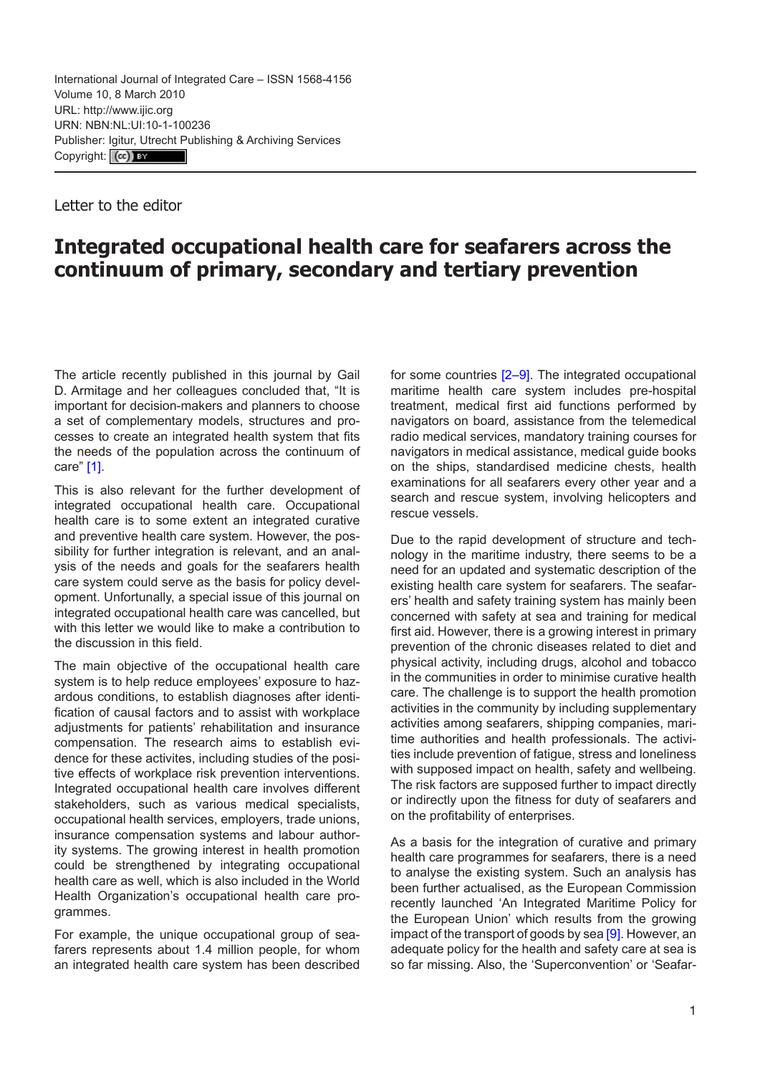Letter to the editor

## **Integrated occupational health care for seafarers across the continuum of primary, secondary and tertiary prevention**

The article recently published in this journal by Gail D. Armitage and her colleagues concluded that, "It is important for decision-makers and planners to choose a set of complementary models, structures and processes to create an integrated health system that fits the needs of the population across the continuum of care" [[1](#page-1-0)].

This is also relevant for the further development of integrated occupational health care. Occupational health care is to some extent an integrated curative and preventive health care system. However, the possibility for further integration is relevant, and an analysis of the needs and goals for the seafarers health care system could serve as the basis for policy development. Unfortunally, a special issue of this journal on integrated occupational health care was cancelled, but with this letter we would like to make a contribution to the discussion in this field.

The main objective of the occupational health care system is to help reduce employees' exposure to hazardous conditions, to establish diagnoses after identification of causal factors and to assist with workplace adjustments for patients' rehabilitation and insurance compensation. The research aims to establish evidence for these activites, including studies of the positive effects of workplace risk prevention interventions. Integrated occupational health care involves different stakeholders, such as various medical specialists, occupational health services, employers, trade unions, insurance compensation systems and labour authority systems. The growing interest in health promotion could be strengthened by integrating occupational health care as well, which is also included in the World Health Organization's occupational health care programmes.

For example, the unique occupational group of seafarers represents about 1.4 million people, for whom an integrated health care system has been described for some countries [[2](#page-1-0)–[9](#page-1-0)]. The integrated occupational maritime health care system includes pre-hospital treatment, medical first aid functions performed by navigators on board, assistance from the telemedical radio medical services, mandatory training courses for navigators in medical assistance, medical guide books on the ships, standardised medicine chests, health examinations for all seafarers every other year and a search and rescue system, involving helicopters and rescue vessels.

Due to the rapid development of structure and technology in the maritime industry, there seems to be a need for an updated and systematic description of the existing health care system for seafarers. The seafarers' health and safety training system has mainly been concerned with safety at sea and training for medical first aid. However, there is a growing interest in primary prevention of the chronic diseases related to diet and physical activity, including drugs, alcohol and tobacco in the communities in order to minimise curative health care. The challenge is to support the health promotion activities in the community by including supplementary activities among seafarers, shipping companies, maritime authorities and health professionals. The activities include prevention of fatigue, stress and loneliness with supposed impact on health, safety and wellbeing. The risk factors are supposed further to impact directly or indirectly upon the fitness for duty of seafarers and on the profitability of enterprises.

As a basis for the integration of curative and primary health care programmes for seafarers, there is a need to analyse the existing system. Such an analysis has been further actualised, as the European Commission recently launched 'An Integrated Maritime Policy for the European Union' which results from the growing impact of the transport of goods by sea [[9](#page-1-0)]. However, an adequate policy for the health and safety care at sea is so far missing. Also, the 'Superconvention' or 'Seafar